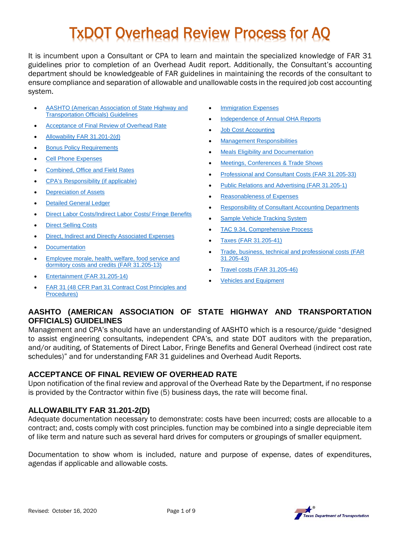# TxDOT Overhead Review Process for AQ

It is incumbent upon a Consultant or CPA to learn and maintain the specialized knowledge of FAR 31 guidelines prior to completion of an Overhead Audit report. Additionally, the Consultant's accounting department should be knowledgeable of FAR guidelines in maintaining the records of the consultant to ensure compliance and separation of allowable and unallowable costs in the required job cost accounting system.

- [AASHTO \(American Association of State Highway and](#page-0-0)  [Transportation Officials\) Guidelines](#page-0-0)
- [Acceptance of Final Review of Overhead Rate](#page-0-1)
- [Allowability FAR 31.201-2\(d\)](#page-0-2)
- [Bonus Policy Requirements](#page-0-3)
- [Cell Phone Expenses](#page-1-0)
- [Combined, Office and Field Rates](#page-1-1)
- [CPA's Responsibility \(if applicable\)](#page-2-0)
- **[Depreciation of Assets](#page-2-1)**
- [Detailed General Ledger](#page-2-2)
- [Direct Labor Costs/Indirect Labor Costs/ Fringe Benefits](#page-3-0)
- [Direct Selling Costs](#page-3-1)
- [Direct, Indirect and Directly Associated Expenses](#page-3-2)
- [Documentation](#page-4-0)
- [Employee morale, health, welfare, food service and](#page-4-1)  [dormitory costs and credits \(FAR 31.205-13\)](#page-4-1)
- [Entertainment \(FAR 31.205-14\)](#page-4-2)
- [FAR 31 \(48 CFR Part 31 Contract Cost Principles and](#page-4-3)  [Procedures\)](#page-4-3)
- **[Immigration Expenses](#page-5-0)**
- [Independence of Annual OHA Reports](#page-5-1)
- [Job Cost Accounting](#page-5-2)
- [Management Responsibilities](#page-5-3)
- [Meals Eligibility and Documentation](#page-5-4)
- [Meetings, Conferences & Trade Shows](#page-6-0)
- [Professional and Consultant Costs \(FAR 31.205-33\)](#page-6-1)
- [Public Relations and Advertising \(FAR 31.205-1\)](#page-6-2)
- [Reasonableness of Expenses](#page-6-3)
- [Responsibility of Consultant Accounting Departments](#page-6-4)
- [Sample Vehicle Tracking System](#page-7-0)
- [TAC 9.34, Comprehensive Process](#page-7-1)
- [Taxes \(FAR 31.205-41\)](#page-7-2)
- [Trade, business, technical and professional costs \(FAR](#page-7-3)  [31.205-43\)](#page-7-3)
- [Travel costs \(FAR 31.205-46\)](#page-7-4)
- [Vehicles and Equipment](#page-8-0)

# <span id="page-0-0"></span>**AASHTO (AMERICAN ASSOCIATION OF STATE HIGHWAY AND TRANSPORTATION OFFICIALS) GUIDELINES**

Management and CPA's should have an understanding of AASHTO which is a resource/guide "designed to assist engineering consultants, independent CPA's, and state DOT auditors with the preparation, and/or auditing, of Statements of Direct Labor, Fringe Benefits and General Overhead (indirect cost rate schedules)" and for understanding FAR 31 guidelines and Overhead Audit Reports.

# <span id="page-0-1"></span>**ACCEPTANCE OF FINAL REVIEW OF OVERHEAD RATE**

Upon notification of the final review and approval of the Overhead Rate by the Department, if no response is provided by the Contractor within five (5) business days, the rate will become final.

# <span id="page-0-2"></span>**ALLOWABILITY FAR 31.201-2(D)**

Adequate documentation necessary to demonstrate: costs have been incurred; costs are allocable to a contract; and, costs comply with cost principles. function may be combined into a single depreciable item of like term and nature such as several hard drives for computers or groupings of smaller equipment.

<span id="page-0-3"></span>Documentation to show whom is included, nature and purpose of expense, dates of expenditures, agendas if applicable and allowable costs.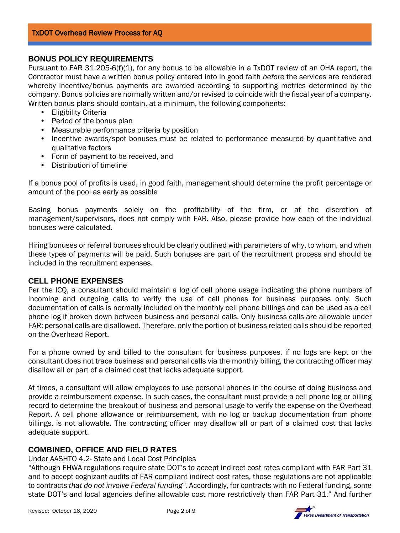## **BONUS POLICY REQUIREMENTS**

Pursuant to FAR 31.205-6(f)(1), for any bonus to be allowable in a TxDOT review of an OHA report, the Contractor must have a written bonus policy entered into in good faith *before* the services are rendered whereby incentive/bonus payments are awarded according to supporting metrics determined by the company. Bonus policies are normally written and/or revised to coincide with the fiscal year of a company. Written bonus plans should contain, at a minimum, the following components:

- Eligibility Criteria
- Period of the bonus plan
- Measurable performance criteria by position
- Incentive awards/spot bonuses must be related to performance measured by quantitative and qualitative factors
- Form of payment to be received, and
- Distribution of timeline

If a bonus pool of profits is used, in good faith, management should determine the profit percentage or amount of the pool as early as possible

Basing bonus payments solely on the profitability of the firm, or at the discretion of management/supervisors, does not comply with FAR. Also, please provide how each of the individual bonuses were calculated.

Hiring bonuses or referral bonuses should be clearly outlined with parameters of why, to whom, and when these types of payments will be paid. Such bonuses are part of the recruitment process and should be included in the recruitment expenses.

#### <span id="page-1-0"></span>**CELL PHONE EXPENSES**

Per the ICQ, a consultant should maintain a log of cell phone usage indicating the phone numbers of incoming and outgoing calls to verify the use of cell phones for business purposes only. Such documentation of calls is normally included on the monthly cell phone billings and can be used as a cell phone log if broken down between business and personal calls. Only business calls are allowable under FAR; personal calls are disallowed. Therefore, only the portion of business related calls should be reported on the Overhead Report.

For a phone owned by and billed to the consultant for business purposes, if no logs are kept or the consultant does not trace business and personal calls via the monthly billing, the contracting officer may disallow all or part of a claimed cost that lacks adequate support.

At times, a consultant will allow employees to use personal phones in the course of doing business and provide a reimbursement expense. In such cases, the consultant must provide a cell phone log or billing record to determine the breakout of business and personal usage to verify the expense on the Overhead Report. A cell phone allowance or reimbursement, with no log or backup documentation from phone billings, is not allowable. The contracting officer may disallow all or part of a claimed cost that lacks adequate support.

## <span id="page-1-1"></span>**COMBINED, OFFICE AND FIELD RATES**

Under AASHTO 4.2- State and Local Cost Principles

"Although FHWA regulations require state DOT's to accept indirect cost rates compliant with FAR Part 31 and to accept cognizant audits of FAR-compliant indirect cost rates, those regulations are not applicable to contracts *that do not involve Federal funding".* Accordingly, for contracts with no Federal funding, some state DOT's and local agencies define allowable cost more restrictively than FAR Part 31." And further

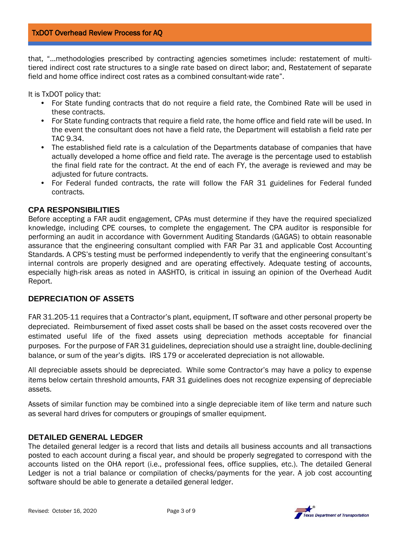that, "…methodologies prescribed by contracting agencies sometimes include: restatement of multitiered indirect cost rate structures to a single rate based on direct labor; and, Restatement of separate field and home office indirect cost rates as a combined consultant-wide rate".

It is TxDOT policy that:

- For State funding contracts that do not require a field rate, the Combined Rate will be used in these contracts.
- For State funding contracts that require a field rate, the home office and field rate will be used. In the event the consultant does not have a field rate, the Department will establish a field rate per TAC 9.34.
- The established field rate is a calculation of the Departments database of companies that have actually developed a home office and field rate. The average is the percentage used to establish the final field rate for the contract. At the end of each FY, the average is reviewed and may be adiusted for future contracts.
- For Federal funded contracts, the rate will follow the FAR 31 guidelines for Federal funded contracts.

## <span id="page-2-0"></span>**CPA RESPONSIBILITIES**

Before accepting a FAR audit engagement, CPAs must determine if they have the required specialized knowledge, including CPE courses, to complete the engagement. The CPA auditor is responsible for performing an audit in accordance with Government Auditing Standards (GAGAS) to obtain reasonable assurance that the engineering consultant complied with FAR Par 31 and applicable Cost Accounting Standards. A CPS's testing must be performed independently to verify that the engineering consultant's internal controls are properly designed and are operating effectively. Adequate testing of accounts, especially high-risk areas as noted in AASHTO, is critical in issuing an opinion of the Overhead Audit Report.

# <span id="page-2-1"></span>**DEPRECIATION OF ASSETS**

<span id="page-2-2"></span>FAR 31.205-11 requires that a Contractor's plant, equipment, IT software and other personal property be depreciated. Reimbursement of fixed asset costs shall be based on the asset costs recovered over the estimated useful life of the fixed assets using depreciation methods acceptable for financial purposes. For the purpose of FAR 31 guidelines, depreciation should use a straight line, double-declining balance, or sum of the year's digits. IRS 179 or accelerated depreciation is not allowable.

All depreciable assets should be depreciated. While some Contractor's may have a policy to expense items below certain threshold amounts, FAR 31 guidelines does not recognize expensing of depreciable assets.

Assets of similar function may be combined into a single depreciable item of like term and nature such as several hard drives for computers or groupings of smaller equipment.

## **DETAILED GENERAL LEDGER**

The detailed general ledger is a record that lists and details all business accounts and all transactions posted to each account during a fiscal year, and should be properly segregated to correspond with the accounts listed on the OHA report (i.e., professional fees, office supplies, etc.). The detailed General Ledger is not a trial balance or compilation of checks/payments for the year. A job cost accounting software should be able to generate a detailed general ledger.

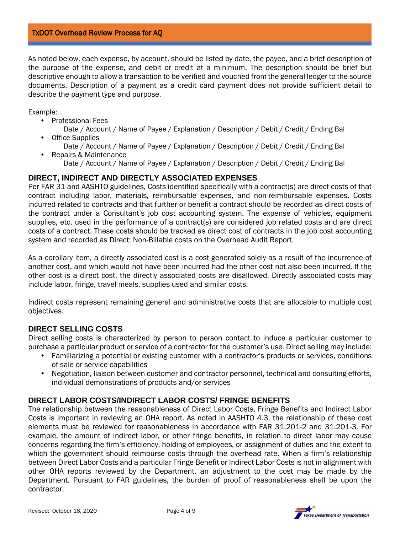#### TxDOT Overhead Review Process for AQ

As noted below, each expense, by account, should be listed by date, the payee, and a brief description of the purpose of the expense, and debit or credit at a minimum. The description should be brief but descriptive enough to allow a transaction to be verified and vouched from the general ledger to the source documents. Description of a payment as a credit card payment does not provide sufficient detail to describe the payment type and purpose.

Example:

- Professional Fees
	- Date / Account / Name of Payee / Explanation / Description / Debit / Credit / Ending Bal **Office Supplies**
- Date / Account / Name of Payee / Explanation / Description / Debit / Credit / Ending Bal • Repairs & Maintenance
	- Date / Account / Name of Payee / Explanation / Description / Debit / Credit / Ending Bal

#### <span id="page-3-2"></span>**DIRECT, INDIRECT AND DIRECTLY ASSOCIATED EXPENSES**

Per FAR 31 and AASHTO guidelines, Costs identified specifically with a contract(s) are direct costs of that contract including labor, materials, reimbursable expenses, and non-reimbursable expenses. Costs incurred related to contracts and that further or benefit a contract should be recorded as direct costs of the contract under a Consultant's job cost accounting system. The expense of vehicles, equipment supplies, etc. used in the performance of a contract(s) are considered job related costs and are direct costs of a contract. These costs should be tracked as direct cost of contracts in the job cost accounting system and recorded as Direct: Non-Billable costs on the Overhead Audit Report.

As a corollary item, a directly associated cost is a cost generated solely as a result of the incurrence of another cost, and which would not have been incurred had the other cost not also been incurred. If the other cost is a direct cost, the directly associated costs are disallowed. Directly associated costs may include labor, fringe, travel meals, supplies used and similar costs.

Indirect costs represent remaining general and administrative costs that are allocable to multiple cost objectives.

## <span id="page-3-1"></span>**DIRECT SELLING COSTS**

Direct selling costs is characterized by person to person contact to induce a particular customer to purchase a particular product or service of a contractor for the customer's use. Direct selling may include:

- Familiarizing a potential or existing customer with a contractor's products or services, conditions of sale or service capabilities
- Negotiation, liaison between customer and contractor personnel, technical and consulting efforts, individual demonstrations of products and/or services

#### <span id="page-3-0"></span>**DIRECT LABOR COSTS/INDIRECT LABOR COSTS/ FRINGE BENEFITS**

The relationship between the reasonableness of Direct Labor Costs, Fringe Benefits and Indirect Labor Costs is important in reviewing an OHA report. As noted in AASHTO 4.3, the relationship of these cost elements must be reviewed for reasonableness in accordance with FAR 31.201-2 and 31.201-3. For example, the amount of indirect labor, or other fringe benefits, in relation to direct labor may cause concerns regarding the firm's efficiency, holding of employees, or assignment of duties and the extent to which the government should reimburse costs through the overhead rate. When a firm's relationship between Direct Labor Costs and a particular Fringe Benefit or Indirect Labor Costs is not in alignment with other OHA reports reviewed by the Department, an adjustment to the cost may be made by the Department. Pursuant to FAR guidelines, the burden of proof of reasonableness shall be upon the contractor.



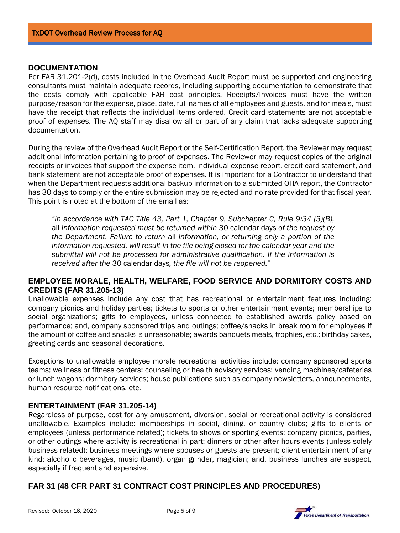#### <span id="page-4-0"></span>**DOCUMENTATION**

Per FAR 31.201-2(d), costs included in the Overhead Audit Report must be supported and engineering consultants must maintain adequate records, including supporting documentation to demonstrate that the costs comply with applicable FAR cost principles. Receipts/Invoices must have the written purpose/reason for the expense, place, date, full names of all employees and guests, and for meals, must have the receipt that reflects the individual items ordered. Credit card statements are not acceptable proof of expenses. The AQ staff may disallow all or part of any claim that lacks adequate supporting documentation.

During the review of the Overhead Audit Report or the Self-Certification Report, the Reviewer may request additional information pertaining to proof of expenses. The Reviewer may request copies of the original receipts or invoices that support the expense item. Individual expense report, credit card statement, and bank statement are not acceptable proof of expenses. It is important for a Contractor to understand that when the Department requests additional backup information to a submitted OHA report, the Contractor has 30 days to comply or the entire submission may be rejected and no rate provided for that fiscal year. This point is noted at the bottom of the email as:

*"In accordance with TAC Title 43, Part 1, Chapter 9, Subchapter C, Rule 9:34 (3)(B),*  all *information requested must be returned within* 30 calendar days *of the request by the Department. Failure to return* all *information, or returning only a portion of the information requested, will result in the file being closed for the calendar year and the submittal will not be processed for administrative qualification. If the information is received after the* 30 calendar days*, the file will not be reopened."* 

## <span id="page-4-1"></span>**EMPLOYEE MORALE, HEALTH, WELFARE, FOOD SERVICE AND DORMITORY COSTS AND CREDITS (FAR 31.205-13)**

Unallowable expenses include any cost that has recreational or entertainment features including: company picnics and holiday parties; tickets to sports or other entertainment events; memberships to social organizations; gifts to employees, unless connected to established awards policy based on performance; and, company sponsored trips and outings; coffee/snacks in break room for employees if the amount of coffee and snacks is unreasonable; awards banquets meals, trophies, etc.; birthday cakes, greeting cards and seasonal decorations.

Exceptions to unallowable employee morale recreational activities include: company sponsored sports teams; wellness or fitness centers; counseling or health advisory services; vending machines/cafeterias or lunch wagons; dormitory services; house publications such as company newsletters, announcements, human resource notifications, etc.

## <span id="page-4-2"></span>**ENTERTAINMENT (FAR 31.205-14)**

Regardless of purpose, cost for any amusement, diversion, social or recreational activity is considered unallowable. Examples include: memberships in social, dining, or country clubs; gifts to clients or employees (unless performance related); tickets to shows or sporting events; company picnics, parties, or other outings where activity is recreational in part; dinners or other after hours events (unless solely business related); business meetings where spouses or guests are present; client entertainment of any kind; alcoholic beverages, music (band), organ grinder, magician; and, business lunches are suspect, especially if frequent and expensive.

# <span id="page-4-3"></span>**FAR 31 (48 CFR PART 31 CONTRACT COST PRINCIPLES AND PROCEDURES)**



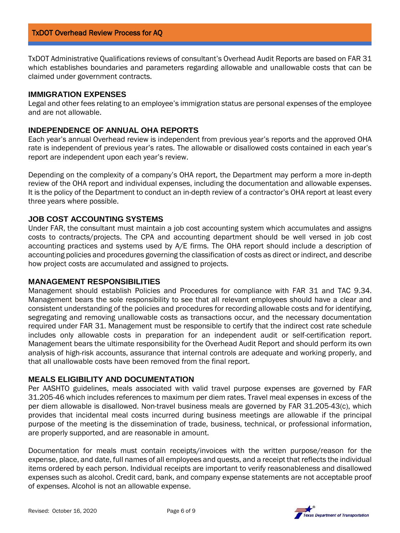TxDOT Administrative Qualifications reviews of consultant's Overhead Audit Reports are based on FAR 31 which establishes boundaries and parameters regarding allowable and unallowable costs that can be claimed under government contracts.

#### <span id="page-5-0"></span>**IMMIGRATION EXPENSES**

Legal and other fees relating to an employee's immigration status are personal expenses of the employee and are not allowable.

## <span id="page-5-1"></span>**INDEPENDENCE OF ANNUAL OHA REPORTS**

Each year's annual Overhead review is independent from previous year's reports and the approved OHA rate is independent of previous year's rates. The allowable or disallowed costs contained in each year's report are independent upon each year's review.

Depending on the complexity of a company's OHA report, the Department may perform a more in-depth review of the OHA report and individual expenses, including the documentation and allowable expenses. It is the policy of the Department to conduct an in-depth review of a contractor's OHA report at least every three years where possible.

## <span id="page-5-2"></span>**JOB COST ACCOUNTING SYSTEMS**

Under FAR, the consultant must maintain a job cost accounting system which accumulates and assigns costs to contracts/projects. The CPA and accounting department should be well versed in job cost accounting practices and systems used by A/E firms. The OHA report should include a description of accounting policies and procedures governing the classification of costs as direct or indirect, and describe how project costs are accumulated and assigned to projects.

#### <span id="page-5-3"></span>**MANAGEMENT RESPONSIBILITIES**

Management should establish Policies and Procedures for compliance with FAR 31 and TAC 9.34. Management bears the sole responsibility to see that all relevant employees should have a clear and consistent understanding of the policies and procedures for recording allowable costs and for identifying, segregating and removing unallowable costs as transactions occur, and the necessary documentation required under FAR 31. Management must be responsible to certify that the indirect cost rate schedule includes only allowable costs in preparation for an independent audit or self-certification report. Management bears the ultimate responsibility for the Overhead Audit Report and should perform its own analysis of high-risk accounts, assurance that internal controls are adequate and working properly, and that all unallowable costs have been removed from the final report.

#### <span id="page-5-4"></span>**MEALS ELIGIBILITY AND DOCUMENTATION**

Per AASHTO guidelines, meals associated with valid travel purpose expenses are governed by FAR 31.205-46 which includes references to maximum per diem rates. Travel meal expenses in excess of the per diem allowable is disallowed. Non-travel business meals are governed by FAR 31.205-43(c), which provides that incidental meal costs incurred during business meetings are allowable if the principal purpose of the meeting is the dissemination of trade, business, technical, or professional information, are properly supported, and are reasonable in amount.

Documentation for meals must contain receipts/invoices with the written purpose/reason for the expense, place, and date, full names of all employees and quests, and a receipt that reflects the individual items ordered by each person. Individual receipts are important to verify reasonableness and disallowed expenses such as alcohol. Credit card, bank, and company expense statements are not acceptable proof of expenses. Alcohol is not an allowable expense.



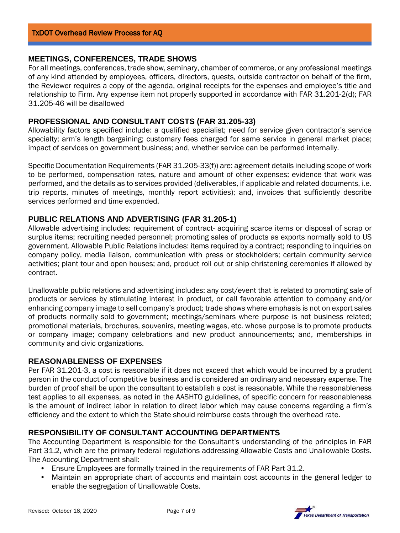## <span id="page-6-0"></span>**MEETINGS, CONFERENCES, TRADE SHOWS**

For all meetings, conferences, trade show, seminary, chamber of commerce, or any professional meetings of any kind attended by employees, officers, directors, quests, outside contractor on behalf of the firm, the Reviewer requires a copy of the agenda, original receipts for the expenses and employee's title and relationship to Firm. Any expense item not properly supported in accordance with FAR 31.201-2(d); FAR 31.205-46 will be disallowed

## <span id="page-6-1"></span>**PROFESSIONAL AND CONSULTANT COSTS (FAR 31.205-33)**

Allowability factors specified include: a qualified specialist; need for service given contractor's service specialty; arm's length bargaining; customary fees charged for same service in general market place; impact of services on government business; and, whether service can be performed internally.

Specific Documentation Requirements (FAR 31.205-33(f)) are: agreement details including scope of work to be performed, compensation rates, nature and amount of other expenses; evidence that work was performed, and the details as to services provided (deliverables, if applicable and related documents, i.e. trip reports, minutes of meetings, monthly report activities); and, invoices that sufficiently describe services performed and time expended.

# <span id="page-6-2"></span>**PUBLIC RELATIONS AND ADVERTISING (FAR 31.205-1)**

Allowable advertising includes: requirement of contract- acquiring scarce items or disposal of scrap or surplus items; recruiting needed personnel; promoting sales of products as exports normally sold to US government. Allowable Public Relations includes: items required by a contract; responding to inquiries on company policy, media liaison, communication with press or stockholders; certain community service activities; plant tour and open houses; and, product roll out or ship christening ceremonies if allowed by contract.

Unallowable public relations and advertising includes: any cost/event that is related to promoting sale of products or services by stimulating interest in product, or call favorable attention to company and/or enhancing company image to sell company's product; trade shows where emphasis is not on export sales of products normally sold to government; meetings/seminars where purpose is not business related; promotional materials, brochures, souvenirs, meeting wages, etc. whose purpose is to promote products or company image; company celebrations and new product announcements; and, memberships in community and civic organizations.

## <span id="page-6-3"></span>**REASONABLENESS OF EXPENSES**

Per FAR 31.201-3, a cost is reasonable if it does not exceed that which would be incurred by a prudent person in the conduct of competitive business and is considered an ordinary and necessary expense. The burden of proof shall be upon the consultant to establish a cost is reasonable. While the reasonableness test applies to all expenses, as noted in the AASHTO guidelines, of specific concern for reasonableness is the amount of indirect labor in relation to direct labor which may cause concerns regarding a firm's efficiency and the extent to which the State should reimburse costs through the overhead rate.

## <span id="page-6-4"></span>**RESPONSIBILITY OF CONSULTANT ACCOUNTING DEPARTMENTS**

The Accounting Department is responsible for the Consultant's understanding of the principles in FAR Part 31.2, which are the primary federal regulations addressing Allowable Costs and Unallowable Costs. The Accounting Department shall:

- Ensure Employees are formally trained in the requirements of FAR Part 31.2.
- Maintain an appropriate chart of accounts and maintain cost accounts in the general ledger to enable the segregation of Unallowable Costs.

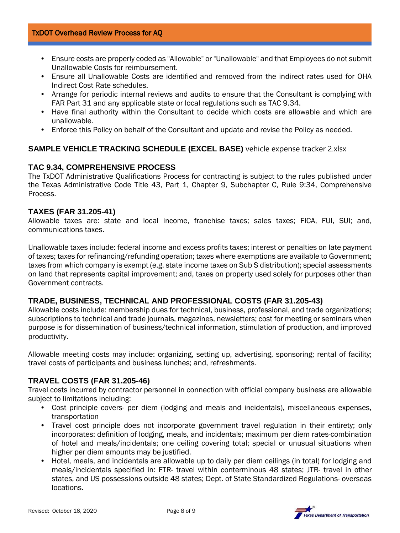- Ensure costs are properly coded as "Allowable" or "Unallowable" and that Employees do not submit Unallowable Costs for reimbursement.
- Ensure all Unallowable Costs are identified and removed from the indirect rates used for OHA Indirect Cost Rate schedules.
- Arrange for periodic internal reviews and audits to ensure that the Consultant is complying with FAR Part 31 and any applicable state or local regulations such as TAC 9.34.
- Have final authority within the Consultant to decide which costs are allowable and which are unallowable.
- Enforce this Policy on behalf of the Consultant and update and revise the Policy as needed.

# <span id="page-7-0"></span>**SAMPLE VEHICLE TRACKING SCHEDULE (EXCEL BASE)** vehicle expense tracker 2.xlsx

## <span id="page-7-1"></span>**TAC 9.34, COMPREHENSIVE PROCESS**

The TxDOT Administrative Qualifications Process for contracting is subject to the rules published under the Texas Administrative Code Title 43, Part 1, Chapter 9, Subchapter C, Rule 9:34, Comprehensive Process.

## <span id="page-7-2"></span>**TAXES (FAR 31.205-41)**

Allowable taxes are: state and local income, franchise taxes; sales taxes; FICA, FUI, SUI; and, communications taxes.

Unallowable taxes include: federal income and excess profits taxes; interest or penalties on late payment of taxes; taxes for refinancing/refunding operation; taxes where exemptions are available to Government; taxes from which company is exempt (e.g. state income taxes on Sub S distribution); special assessments on land that represents capital improvement; and, taxes on property used solely for purposes other than Government contracts.

# <span id="page-7-3"></span>**TRADE, BUSINESS, TECHNICAL AND PROFESSIONAL COSTS (FAR 31.205-43)**

Allowable costs include: membership dues for technical, business, professional, and trade organizations; subscriptions to technical and trade journals, magazines, newsletters; cost for meeting or seminars when purpose is for dissemination of business/technical information, stimulation of production, and improved productivity.

Allowable meeting costs may include: organizing, setting up, advertising, sponsoring; rental of facility; travel costs of participants and business lunches; and, refreshments.

# <span id="page-7-4"></span>**TRAVEL COSTS (FAR 31.205-46)**

Travel costs incurred by contractor personnel in connection with official company business are allowable subject to limitations including:

- Cost principle covers- per diem (lodging and meals and incidentals), miscellaneous expenses, transportation
- Travel cost principle does not incorporate government travel regulation in their entirety; only incorporates: definition of lodging, meals, and incidentals; maximum per diem rates-combination of hotel and meals/incidentals; one ceiling covering total; special or unusual situations when higher per diem amounts may be justified.
- Hotel, meals, and incidentals are allowable up to daily per diem ceilings (in total) for lodging and meals/incidentals specified in: FTR- travel within conterminous 48 states; JTR- travel in other states, and US possessions outside 48 states; Dept. of State Standardized Regulations- overseas locations.